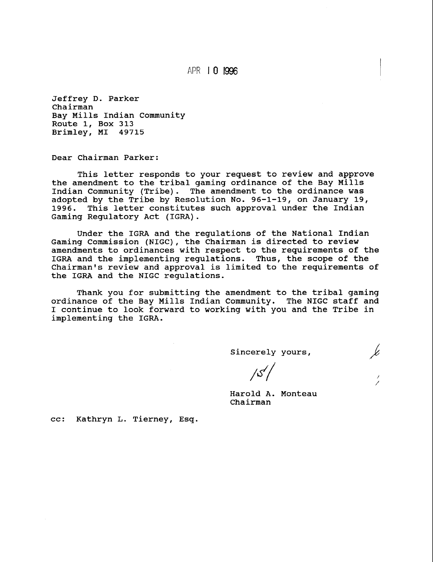APR 1 **0 I996** 

Jeffrey D. Parker Chairman Bay Mills Indian Community Route 1, Box 313 Brimley, MI 49715

Dear Chairman Parker:

This letter responds to your request to review and approve the amendment to the tribal gaming ordinance of the Bay Mills Indian Community (Tribe). The amendment to the ordinance was adopted by the Tribe by Resolution No. 96-1-19, on January 19,<br>1996. This letter constitutes such approval under the Indian This letter constitutes such approval under the Indian Gaming Regulatory Act (IGRA).

Under the IGRA and the regulations of the National Indian Gaming Commission (NIGC), the Chairman is directed to review amendments to ordinances with respect to the requirements of the IGRA and the implementing regulations. Thus, the scope of the Chairman's review and approval is limited to the requirements of the IGRA and the NIGC regulations.

Thank you for submitting the amendment to the tribal gaming ordinance of the Bay Mills Indian Community. The NIGC staff and I continue to look forward to working with you and the Tribe in implementing the IGRA.

Sincerely yours,

 $/5/$ 

Harold A. Monteau Chairman

cc: Kathryn L. Tierney, Esq.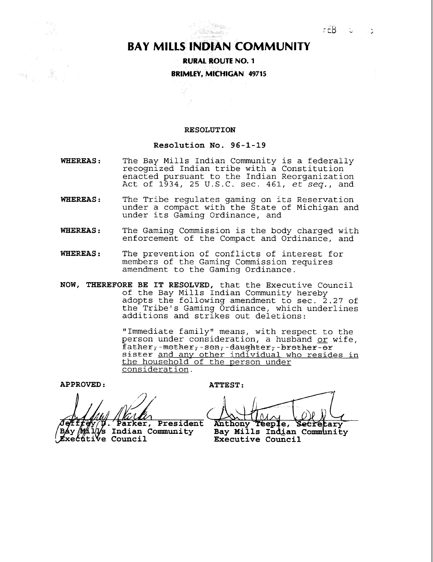## **BAY MILLS INDIAN COMMUNITY**

t<br>Lidad dialah salah salah salah salah salah salah salah salah salah salah salah salah salah salah salah salah<br>Salah salah salah salah salah salah salah salah salah salah salah salah salah salah salah salah salah salah s

**RURAL ROUTE NO. 1 BRIMLEY, MICHIGAN 49715** 

## **RESOLUTION**

## **Resolution No. 96-1-19**

- **WHEREAS** : The Bay Mills Indian Community is a federally recognized Indian tribe with a Constitution enacted pursuant to the Indian Reorganization Act of  $1\overline{9}34$ , 25 U.S.C. sec. 461,  $e^{t}$  seq., and
- **WHEREAS** : The Tribe regulates gaming on its Reservation under a compact with the State of Michigan and under its Gaming Ordinance, and
- **WHEREAS** : The Gaming Commission is the body charged with enforcement of the Compact and Ordinance, and
- **WHEREAS** : The prevention of conflicts of interest for members of the Gaming Commission requires amendment to the Gaming Ordinance.
- **NOW, THEREFORE BE IT RESOLVED,** that the Executive Council of the Bay Mills Indian Community hereby adopts the following amendment to sec. 2.27 of the Tribe's Gaming Ordinance, which underlines additions and strikes out deletions:

"Immediate family" means, with respect to the person under consideration, a husband or wife,  $father$ <sup>-mether</sup><sup>--sen<sub>7</sub>-daughter<sub>7</sub>-brether-er</sup> sister and any other individual who resides in the household of the Derson under consideration.

**APPROVED** : **ATTEST** :

Parker, President f*fey p. Parker, Presider*<br>Malys Indian Community Báy

**Executive Council** 

 $1010$ Anthony Teeple, Secretary Bay Mills Indian Community Executive Council